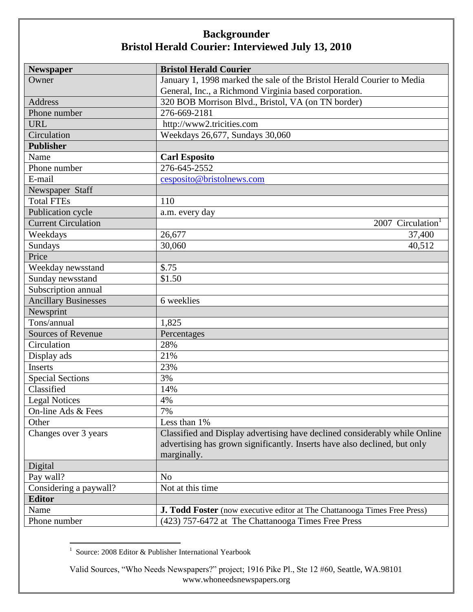| Newspaper                   | <b>Bristol Herald Courier</b>                                              |
|-----------------------------|----------------------------------------------------------------------------|
| Owner                       | January 1, 1998 marked the sale of the Bristol Herald Courier to Media     |
|                             | General, Inc., a Richmond Virginia based corporation.                      |
| Address                     | 320 BOB Morrison Blvd., Bristol, VA (on TN border)                         |
| Phone number                | 276-669-2181                                                               |
| <b>URL</b>                  | http://www2.tricities.com                                                  |
| Circulation                 | Weekdays 26,677, Sundays 30,060                                            |
| <b>Publisher</b>            |                                                                            |
| Name                        | <b>Carl Esposito</b>                                                       |
| Phone number                | 276-645-2552                                                               |
| E-mail                      | cesposito@bristolnews.com                                                  |
| Newspaper Staff             |                                                                            |
| <b>Total FTEs</b>           | 110                                                                        |
| Publication cycle           | a.m. every day                                                             |
| <b>Current Circulation</b>  | 2007 Circulation <sup>1</sup>                                              |
| Weekdays                    | 26,677<br>37,400                                                           |
| Sundays                     | 30,060<br>40,512                                                           |
| Price                       |                                                                            |
| Weekday newsstand           | \$.75                                                                      |
| Sunday newsstand            | \$1.50                                                                     |
| Subscription annual         |                                                                            |
| <b>Ancillary Businesses</b> | 6 weeklies                                                                 |
| Newsprint                   |                                                                            |
| Tons/annual                 | 1,825                                                                      |
| <b>Sources of Revenue</b>   | Percentages                                                                |
| Circulation                 | 28%                                                                        |
| Display ads                 | 21%                                                                        |
| <b>Inserts</b>              | 23%                                                                        |
| <b>Special Sections</b>     | 3%                                                                         |
| Classified                  | 14%                                                                        |
| <b>Legal Notices</b>        | 4%                                                                         |
| On-line Ads & Fees          | 7%                                                                         |
| Other                       | Less than 1%                                                               |
| Changes over 3 years        | Classified and Display advertising have declined considerably while Online |
|                             | advertising has grown significantly. Inserts have also declined, but only  |
|                             | marginally.                                                                |
| Digital                     |                                                                            |
| Pay wall?                   | N <sub>o</sub>                                                             |
| Considering a paywall?      | Not at this time                                                           |
| <b>Editor</b>               |                                                                            |
| Name                        | J. Todd Foster (now executive editor at The Chattanooga Times Free Press)  |
| Phone number                | (423) 757-6472 at The Chattanooga Times Free Press                         |

 1 Source: 2008 Editor & Publisher International Yearbook

Valid Sources, "Who Needs Newspapers?" project; 1916 Pike Pl., Ste 12 #60, Seattle, WA.98101 www.whoneedsnewspapers.org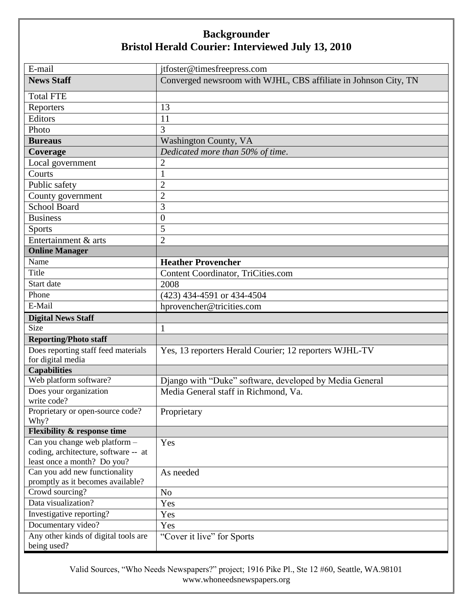| E-mail                                                                                               | jtfoster@timesfreepress.com                                     |
|------------------------------------------------------------------------------------------------------|-----------------------------------------------------------------|
| <b>News Staff</b>                                                                                    | Converged newsroom with WJHL, CBS affiliate in Johnson City, TN |
| <b>Total FTE</b>                                                                                     |                                                                 |
| Reporters                                                                                            | 13                                                              |
| Editors                                                                                              | 11                                                              |
| Photo                                                                                                | 3                                                               |
| <b>Bureaus</b>                                                                                       | Washington County, VA                                           |
| Coverage                                                                                             | Dedicated more than 50% of time.                                |
| Local government                                                                                     | $\overline{2}$                                                  |
| Courts                                                                                               | $\mathbf{1}$                                                    |
| Public safety                                                                                        | $\overline{c}$                                                  |
| County government                                                                                    | $\overline{c}$                                                  |
| <b>School Board</b>                                                                                  | 3                                                               |
| <b>Business</b>                                                                                      | $\boldsymbol{0}$                                                |
| <b>Sports</b>                                                                                        | 5                                                               |
| Entertainment & arts                                                                                 | $\overline{2}$                                                  |
| <b>Online Manager</b>                                                                                |                                                                 |
| Name                                                                                                 | <b>Heather Provencher</b>                                       |
| Title                                                                                                | Content Coordinator, TriCities.com                              |
| Start date                                                                                           | 2008                                                            |
| Phone                                                                                                | (423) 434-4591 or 434-4504                                      |
| E-Mail                                                                                               | hprovencher@tricities.com                                       |
| <b>Digital News Staff</b>                                                                            |                                                                 |
| Size                                                                                                 | $\mathbf{1}$                                                    |
| <b>Reporting/Photo staff</b>                                                                         |                                                                 |
| Does reporting staff feed materials<br>for digital media                                             | Yes, 13 reporters Herald Courier; 12 reporters WJHL-TV          |
| <b>Capabilities</b>                                                                                  |                                                                 |
| Web platform software?                                                                               | Django with "Duke" software, developed by Media General         |
| Does your organization<br>write code?                                                                | Media General staff in Richmond, Va.                            |
| Proprietary or open-source code?<br>Why?                                                             | $\blacksquare$<br>Proprietary                                   |
| <b>Flexibility &amp; response time</b>                                                               |                                                                 |
| Can you change web platform -<br>coding, architecture, software -- at<br>least once a month? Do you? | Yes                                                             |
| Can you add new functionality<br>promptly as it becomes available?                                   | As needed                                                       |
| Crowd sourcing?                                                                                      | N <sub>o</sub>                                                  |
| Data visualization?                                                                                  | Yes                                                             |
| Investigative reporting?                                                                             | Yes                                                             |
| Documentary video?                                                                                   | Yes                                                             |
| Any other kinds of digital tools are<br>being used?                                                  | "Cover it live" for Sports                                      |

Valid Sources, "Who Needs Newspapers?" project; 1916 Pike Pl., Ste 12 #60, Seattle, WA.98101 www.whoneedsnewspapers.org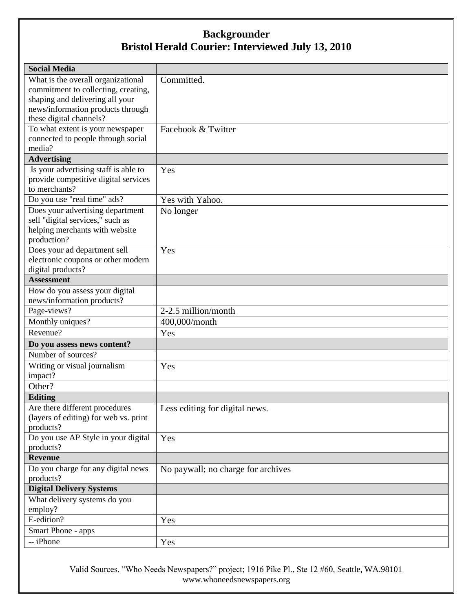| <b>Social Media</b>                              |                                    |
|--------------------------------------------------|------------------------------------|
| What is the overall organizational               | Committed.                         |
| commitment to collecting, creating,              |                                    |
| shaping and delivering all your                  |                                    |
| news/information products through                |                                    |
| these digital channels?                          |                                    |
| To what extent is your newspaper                 | Facebook & Twitter                 |
| connected to people through social<br>media?     |                                    |
| <b>Advertising</b>                               |                                    |
| Is your advertising staff is able to             | Yes                                |
| provide competitive digital services             |                                    |
| to merchants?                                    |                                    |
| Do you use "real time" ads?                      | Yes with Yahoo.                    |
| Does your advertising department                 | No longer                          |
| sell "digital services," such as                 |                                    |
| helping merchants with website                   |                                    |
| production?                                      |                                    |
| Does your ad department sell                     | Yes                                |
| electronic coupons or other modern               |                                    |
| digital products?                                |                                    |
| <b>Assessment</b>                                |                                    |
| How do you assess your digital                   |                                    |
| news/information products?                       |                                    |
| Page-views?                                      | 2-2.5 million/month                |
| Monthly uniques?                                 | 400,000/month                      |
| Revenue?                                         | Yes                                |
| Do you assess news content?                      |                                    |
| Number of sources?                               |                                    |
| Writing or visual journalism                     | Yes                                |
| impact?                                          |                                    |
| Other?                                           |                                    |
| <b>Editing</b>                                   |                                    |
| Are there different procedures                   | Less editing for digital news.     |
| (layers of editing) for web vs. print            |                                    |
| products?                                        |                                    |
| Do you use AP Style in your digital<br>products? | Yes                                |
| <b>Revenue</b>                                   |                                    |
| Do you charge for any digital news               | No paywall; no charge for archives |
| products?                                        |                                    |
| <b>Digital Delivery Systems</b>                  |                                    |
| What delivery systems do you                     |                                    |
| employ?                                          |                                    |
| E-edition?                                       | Yes                                |
| Smart Phone - apps                               |                                    |
| -- iPhone                                        | Yes                                |

Valid Sources, "Who Needs Newspapers?" project; 1916 Pike Pl., Ste 12 #60, Seattle, WA.98101 www.whoneedsnewspapers.org